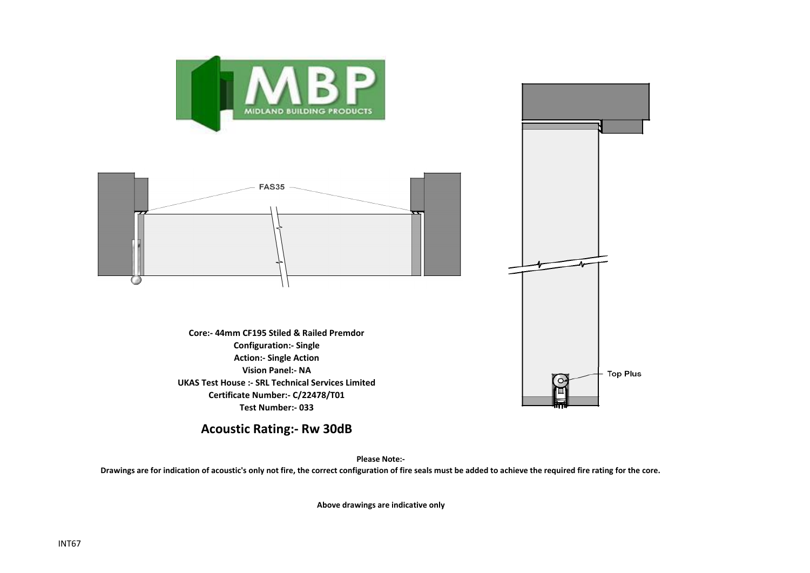

## **Acoustic Rating:- Rw 30dB**

**Please Note:-** 

**Drawings are for indication of acoustic's only not fire, the correct configuration of fire seals must be added to achieve the required fire rating for the core.**

**Above drawings are indicative only**